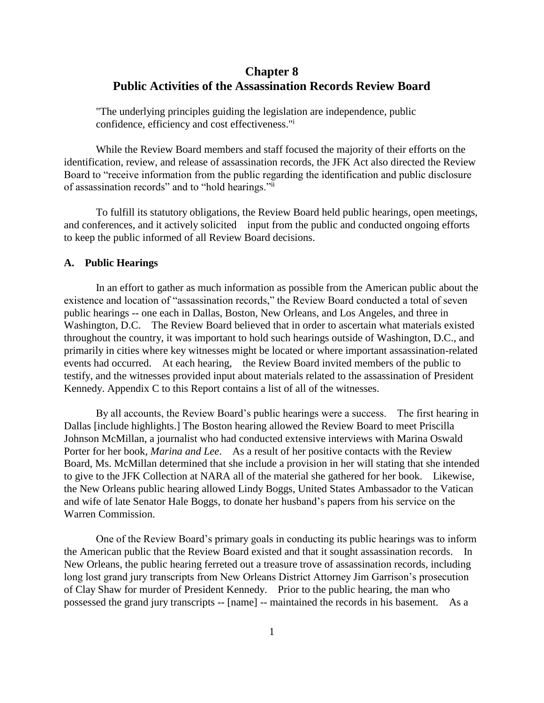# **Chapter 8 Public Activities of the Assassination Records Review Board**

"The underlying principles guiding the legislation are independence, public confidence, efficiency and cost effectiveness."<sup>i</sup>

While the Review Board members and staff focused the majority of their efforts on the identification, review, and release of assassination records, the JFK Act also directed the Review Board to "receive information from the public regarding the identification and public disclosure of assassination records" and to "hold hearings."ii

To fulfill its statutory obligations, the Review Board held public hearings, open meetings, and conferences, and it actively solicited input from the public and conducted ongoing efforts to keep the public informed of all Review Board decisions.

## **A. Public Hearings**

In an effort to gather as much information as possible from the American public about the existence and location of "assassination records," the Review Board conducted a total of seven public hearings -- one each in Dallas, Boston, New Orleans, and Los Angeles, and three in Washington, D.C. The Review Board believed that in order to ascertain what materials existed throughout the country, it was important to hold such hearings outside of Washington, D.C., and primarily in cities where key witnesses might be located or where important assassination-related events had occurred. At each hearing, the Review Board invited members of the public to testify, and the witnesses provided input about materials related to the assassination of President Kennedy. Appendix C to this Report contains a list of all of the witnesses.

By all accounts, the Review Board's public hearings were a success. The first hearing in Dallas [include highlights.] The Boston hearing allowed the Review Board to meet Priscilla Johnson McMillan, a journalist who had conducted extensive interviews with Marina Oswald Porter for her book, *Marina and Lee*. As a result of her positive contacts with the Review Board, Ms. McMillan determined that she include a provision in her will stating that she intended to give to the JFK Collection at NARA all of the material she gathered for her book. Likewise, the New Orleans public hearing allowed Lindy Boggs, United States Ambassador to the Vatican and wife of late Senator Hale Boggs, to donate her husband's papers from his service on the Warren Commission.

One of the Review Board's primary goals in conducting its public hearings was to inform the American public that the Review Board existed and that it sought assassination records. In New Orleans, the public hearing ferreted out a treasure trove of assassination records, including long lost grand jury transcripts from New Orleans District Attorney Jim Garrison's prosecution of Clay Shaw for murder of President Kennedy. Prior to the public hearing, the man who possessed the grand jury transcripts -- [name] -- maintained the records in his basement. As a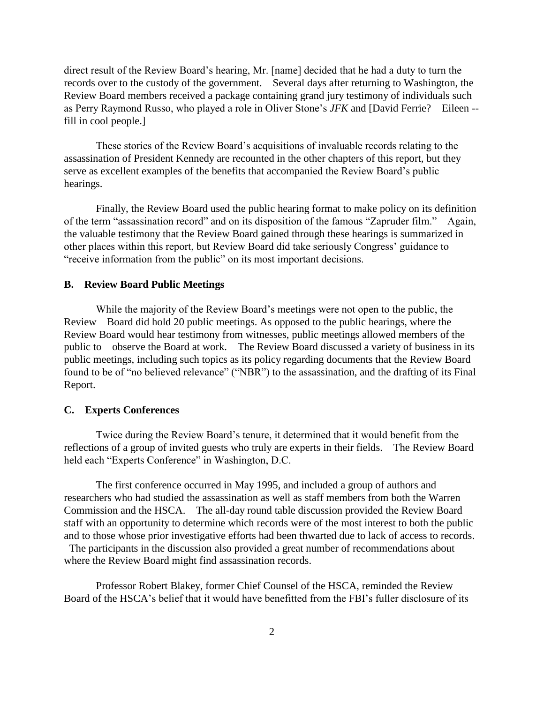direct result of the Review Board's hearing, Mr. [name] decided that he had a duty to turn the records over to the custody of the government. Several days after returning to Washington, the Review Board members received a package containing grand jury testimony of individuals such as Perry Raymond Russo, who played a role in Oliver Stone's *JFK* and [David Ferrie? Eileen - fill in cool people.]

These stories of the Review Board's acquisitions of invaluable records relating to the assassination of President Kennedy are recounted in the other chapters of this report, but they serve as excellent examples of the benefits that accompanied the Review Board's public hearings.

Finally, the Review Board used the public hearing format to make policy on its definition of the term "assassination record" and on its disposition of the famous "Zapruder film." Again, the valuable testimony that the Review Board gained through these hearings is summarized in other places within this report, but Review Board did take seriously Congress' guidance to "receive information from the public" on its most important decisions.

#### **B. Review Board Public Meetings**

While the majority of the Review Board's meetings were not open to the public, the Review Board did hold 20 public meetings. As opposed to the public hearings, where the Review Board would hear testimony from witnesses, public meetings allowed members of the public to observe the Board at work. The Review Board discussed a variety of business in its public meetings, including such topics as its policy regarding documents that the Review Board found to be of "no believed relevance" ("NBR") to the assassination, and the drafting of its Final Report.

## **C. Experts Conferences**

Twice during the Review Board's tenure, it determined that it would benefit from the reflections of a group of invited guests who truly are experts in their fields. The Review Board held each "Experts Conference" in Washington, D.C.

The first conference occurred in May 1995, and included a group of authors and researchers who had studied the assassination as well as staff members from both the Warren Commission and the HSCA. The all-day round table discussion provided the Review Board staff with an opportunity to determine which records were of the most interest to both the public and to those whose prior investigative efforts had been thwarted due to lack of access to records.

The participants in the discussion also provided a great number of recommendations about where the Review Board might find assassination records.

Professor Robert Blakey, former Chief Counsel of the HSCA, reminded the Review Board of the HSCA's belief that it would have benefitted from the FBI's fuller disclosure of its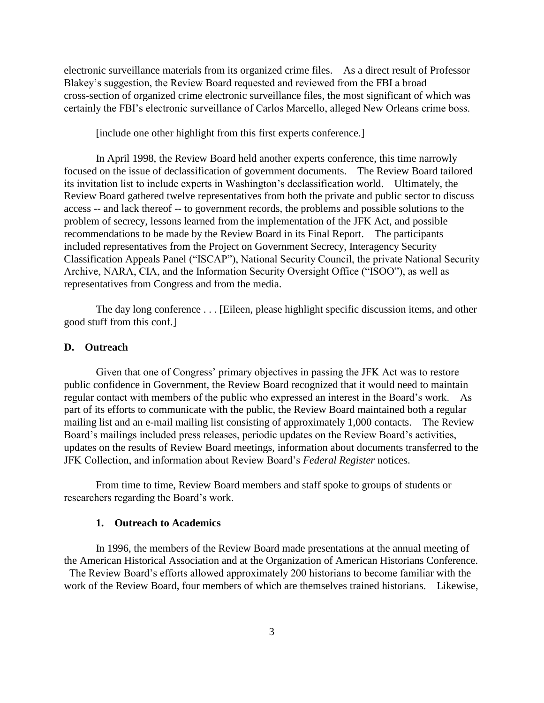electronic surveillance materials from its organized crime files. As a direct result of Professor Blakey's suggestion, the Review Board requested and reviewed from the FBI a broad cross-section of organized crime electronic surveillance files, the most significant of which was certainly the FBI's electronic surveillance of Carlos Marcello, alleged New Orleans crime boss.

[include one other highlight from this first experts conference.]

In April 1998, the Review Board held another experts conference, this time narrowly focused on the issue of declassification of government documents. The Review Board tailored its invitation list to include experts in Washington's declassification world. Ultimately, the Review Board gathered twelve representatives from both the private and public sector to discuss access -- and lack thereof -- to government records, the problems and possible solutions to the problem of secrecy, lessons learned from the implementation of the JFK Act, and possible recommendations to be made by the Review Board in its Final Report. The participants included representatives from the Project on Government Secrecy, Interagency Security Classification Appeals Panel ("ISCAP"), National Security Council, the private National Security Archive, NARA, CIA, and the Information Security Oversight Office ("ISOO"), as well as representatives from Congress and from the media.

The day long conference . . . [Eileen, please highlight specific discussion items, and other good stuff from this conf.]

#### **D. Outreach**

Given that one of Congress' primary objectives in passing the JFK Act was to restore public confidence in Government, the Review Board recognized that it would need to maintain regular contact with members of the public who expressed an interest in the Board's work. As part of its efforts to communicate with the public, the Review Board maintained both a regular mailing list and an e-mail mailing list consisting of approximately 1,000 contacts. The Review Board's mailings included press releases, periodic updates on the Review Board's activities, updates on the results of Review Board meetings, information about documents transferred to the JFK Collection, and information about Review Board's *Federal Register* notices.

From time to time, Review Board members and staff spoke to groups of students or researchers regarding the Board's work.

#### **1. Outreach to Academics**

In 1996, the members of the Review Board made presentations at the annual meeting of the American Historical Association and at the Organization of American Historians Conference. The Review Board's efforts allowed approximately 200 historians to become familiar with the

work of the Review Board, four members of which are themselves trained historians. Likewise,